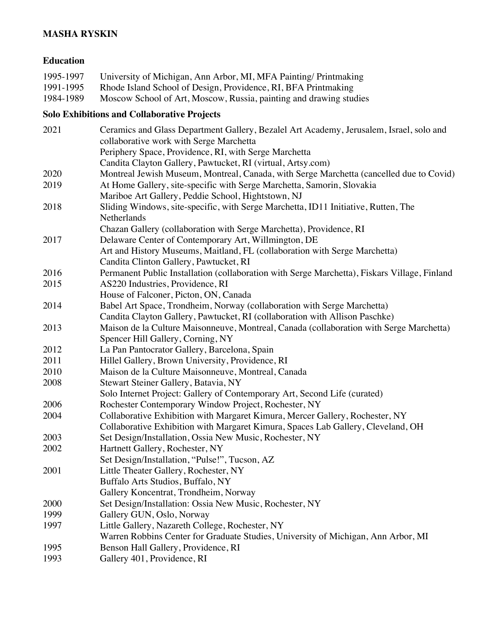## **MASHA RYSKIN**

#### **Education**

| 1995-1997 | University of Michigan, Ann Arbor, MI, MFA Painting/ Printmaking   |
|-----------|--------------------------------------------------------------------|
| 1991-1995 | Rhode Island School of Design, Providence, RI, BFA Printmaking     |
| 1984-1989 | Moscow School of Art, Moscow, Russia, painting and drawing studies |

# **Solo Exhibitions and Collaborative Projects**

| 2021 | Ceramics and Glass Department Gallery, Bezalel Art Academy, Jerusalem, Israel, solo and<br>collaborative work with Serge Marchetta |
|------|------------------------------------------------------------------------------------------------------------------------------------|
|      | Periphery Space, Providence, RI, with Serge Marchetta                                                                              |
|      | Candita Clayton Gallery, Pawtucket, RI (virtual, Artsy.com)                                                                        |
| 2020 | Montreal Jewish Museum, Montreal, Canada, with Serge Marchetta (cancelled due to Covid)                                            |
| 2019 | At Home Gallery, site-specific with Serge Marchetta, Samorin, Slovakia                                                             |
|      | Mariboe Art Gallery, Peddie School, Hightstown, NJ                                                                                 |
| 2018 | Sliding Windows, site-specific, with Serge Marchetta, ID11 Initiative, Rutten, The                                                 |
|      | Netherlands                                                                                                                        |
|      | Chazan Gallery (collaboration with Serge Marchetta), Providence, RI                                                                |
| 2017 | Delaware Center of Contemporary Art, Willmington, DE                                                                               |
|      | Art and History Museums, Maitland, FL (collaboration with Serge Marchetta)                                                         |
|      | Candita Clinton Gallery, Pawtucket, RI                                                                                             |
| 2016 | Permanent Public Installation (collaboration with Serge Marchetta), Fiskars Village, Finland                                       |
| 2015 | AS220 Industries, Providence, RI                                                                                                   |
|      | House of Falconer, Picton, ON, Canada                                                                                              |
| 2014 | Babel Art Space, Trondheim, Norway (collaboration with Serge Marchetta)                                                            |
|      | Candita Clayton Gallery, Pawtucket, RI (collaboration with Allison Paschke)                                                        |
| 2013 | Maison de la Culture Maisonneuve, Montreal, Canada (collaboration with Serge Marchetta)                                            |
|      | Spencer Hill Gallery, Corning, NY                                                                                                  |
| 2012 | La Pan Pantocrator Gallery, Barcelona, Spain                                                                                       |
| 2011 | Hillel Gallery, Brown University, Providence, RI                                                                                   |
| 2010 | Maison de la Culture Maisonneuve, Montreal, Canada                                                                                 |
| 2008 | Stewart Steiner Gallery, Batavia, NY                                                                                               |
|      | Solo Internet Project: Gallery of Contemporary Art, Second Life (curated)                                                          |
| 2006 | Rochester Contemporary Window Project, Rochester, NY                                                                               |
| 2004 | Collaborative Exhibition with Margaret Kimura, Mercer Gallery, Rochester, NY                                                       |
|      | Collaborative Exhibition with Margaret Kimura, Spaces Lab Gallery, Cleveland, OH                                                   |
| 2003 | Set Design/Installation, Ossia New Music, Rochester, NY                                                                            |
| 2002 | Hartnett Gallery, Rochester, NY                                                                                                    |
|      | Set Design/Installation, "Pulse!", Tucson, AZ                                                                                      |
| 2001 | Little Theater Gallery, Rochester, NY                                                                                              |
|      | Buffalo Arts Studios, Buffalo, NY                                                                                                  |
|      | Gallery Koncentrat, Trondheim, Norway                                                                                              |
| 2000 | Set Design/Installation: Ossia New Music, Rochester, NY                                                                            |
| 1999 | Gallery GUN, Oslo, Norway                                                                                                          |
| 1997 | Little Gallery, Nazareth College, Rochester, NY                                                                                    |
|      | Warren Robbins Center for Graduate Studies, University of Michigan, Ann Arbor, MI                                                  |
| 1995 | Benson Hall Gallery, Providence, RI                                                                                                |
| 1993 | Gallery 401, Providence, RI                                                                                                        |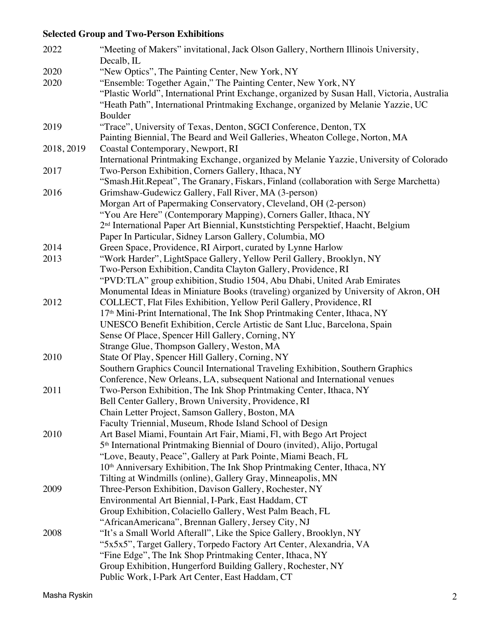# **Selected Group and Two-Person Exhibitions**

| 2022       | "Meeting of Makers" invitational, Jack Olson Gallery, Northern Illinois University,                                                                          |
|------------|--------------------------------------------------------------------------------------------------------------------------------------------------------------|
|            | Decalb, IL                                                                                                                                                   |
| 2020       | "New Optics", The Painting Center, New York, NY                                                                                                              |
| 2020       | "Ensemble: Together Again," The Painting Center, New York, NY                                                                                                |
|            | "Plastic World", International Print Exchange, organized by Susan Hall, Victoria, Australia                                                                  |
|            | "Heath Path", International Printmaking Exchange, organized by Melanie Yazzie, UC                                                                            |
|            | Boulder                                                                                                                                                      |
| 2019       | "Trace", University of Texas, Denton, SGCI Conference, Denton, TX                                                                                            |
|            | Painting Biennial, The Beard and Weil Galleries, Wheaton College, Norton, MA                                                                                 |
| 2018, 2019 | Coastal Contemporary, Newport, RI                                                                                                                            |
|            | International Printmaking Exchange, organized by Melanie Yazzie, University of Colorado                                                                      |
| 2017       | Two-Person Exhibition, Corners Gallery, Ithaca, NY                                                                                                           |
|            | "Smash.Hit.Repeat", The Granary, Fiskars, Finland (collaboration with Serge Marchetta)                                                                       |
| 2016       | Grimshaw-Gudewicz Gallery, Fall River, MA (3-person)                                                                                                         |
|            | Morgan Art of Papermaking Conservatory, Cleveland, OH (2-person)                                                                                             |
|            | "You Are Here" (Contemporary Mapping), Corners Galler, Ithaca, NY                                                                                            |
|            | 2 <sup>nd</sup> International Paper Art Biennial, Kunststichting Perspektief, Haacht, Belgium                                                                |
|            | Paper In Particular, Sidney Larson Gallery, Columbia, MO                                                                                                     |
| 2014       | Green Space, Providence, RI Airport, curated by Lynne Harlow                                                                                                 |
| 2013       | "Work Harder", LightSpace Gallery, Yellow Peril Gallery, Brooklyn, NY                                                                                        |
|            | Two-Person Exhibition, Candita Clayton Gallery, Providence, RI                                                                                               |
|            | "PVD:TLA" group exhibition, Studio 1504, Abu Dhabi, United Arab Emirates                                                                                     |
|            | Monumental Ideas in Miniature Books (traveling) organized by University of Akron, OH                                                                         |
| 2012       | COLLECT, Flat Files Exhibition, Yellow Peril Gallery, Providence, RI                                                                                         |
|            | 17 <sup>th</sup> Mini-Print International, The Ink Shop Printmaking Center, Ithaca, NY                                                                       |
|            | UNESCO Benefit Exhibition, Cercle Artistic de Sant Lluc, Barcelona, Spain                                                                                    |
|            | Sense Of Place, Spencer Hill Gallery, Corning, NY                                                                                                            |
|            | Strange Glue, Thompson Gallery, Weston, MA                                                                                                                   |
| 2010       | State Of Play, Spencer Hill Gallery, Corning, NY                                                                                                             |
|            | Southern Graphics Council International Traveling Exhibition, Southern Graphics<br>Conference, New Orleans, LA, subsequent National and International venues |
| 2011       | Two-Person Exhibition, The Ink Shop Printmaking Center, Ithaca, NY                                                                                           |
|            | Bell Center Gallery, Brown University, Providence, RI                                                                                                        |
|            | Chain Letter Project, Samson Gallery, Boston, MA                                                                                                             |
|            | Faculty Triennial, Museum, Rhode Island School of Design                                                                                                     |
| 2010       | Art Basel Miami, Fountain Art Fair, Miami, Fl, with Bego Art Project                                                                                         |
|            | 5 <sup>th</sup> International Printmaking Biennial of Douro (invited), Alijo, Portugal                                                                       |
|            | "Love, Beauty, Peace", Gallery at Park Pointe, Miami Beach, FL                                                                                               |
|            | 10 <sup>th</sup> Anniversary Exhibition, The Ink Shop Printmaking Center, Ithaca, NY                                                                         |
|            | Tilting at Windmills (online), Gallery Gray, Minneapolis, MN                                                                                                 |
| 2009       | Three-Person Exhibition, Davison Gallery, Rochester, NY                                                                                                      |
|            | Environmental Art Biennial, I-Park, East Haddam, CT                                                                                                          |
|            | Group Exhibition, Colaciello Gallery, West Palm Beach, FL                                                                                                    |
|            | "AfricanAmericana", Brennan Gallery, Jersey City, NJ                                                                                                         |
| 2008       | "It's a Small World Afterall", Like the Spice Gallery, Brooklyn, NY                                                                                          |
|            | "5x5x5", Target Gallery, Torpedo Factory Art Center, Alexandria, VA                                                                                          |
|            | "Fine Edge", The Ink Shop Printmaking Center, Ithaca, NY                                                                                                     |
|            | Group Exhibition, Hungerford Building Gallery, Rochester, NY                                                                                                 |
|            | Public Work, I-Park Art Center, East Haddam, CT                                                                                                              |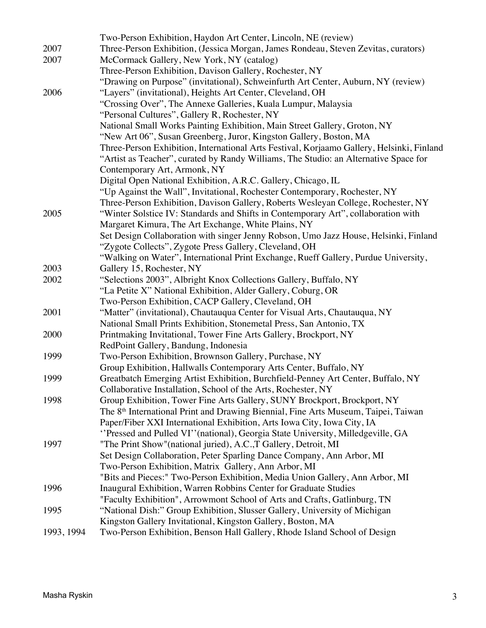|            | Two-Person Exhibition, Haydon Art Center, Lincoln, NE (review)                                                                                                             |
|------------|----------------------------------------------------------------------------------------------------------------------------------------------------------------------------|
| 2007       | Three-Person Exhibition, (Jessica Morgan, James Rondeau, Steven Zevitas, curators)                                                                                         |
| 2007       | McCormack Gallery, New York, NY (catalog)                                                                                                                                  |
|            | Three-Person Exhibition, Davison Gallery, Rochester, NY                                                                                                                    |
|            | "Drawing on Purpose" (invitational), Schweinfurth Art Center, Auburn, NY (review)                                                                                          |
| 2006       | "Layers" (invitational), Heights Art Center, Cleveland, OH                                                                                                                 |
|            | "Crossing Over", The Annexe Galleries, Kuala Lumpur, Malaysia                                                                                                              |
|            | "Personal Cultures", Gallery R, Rochester, NY                                                                                                                              |
|            | National Small Works Painting Exhibition, Main Street Gallery, Groton, NY                                                                                                  |
|            | "New Art 06", Susan Greenberg, Juror, Kingston Gallery, Boston, MA                                                                                                         |
|            | Three-Person Exhibition, International Arts Festival, Korjaamo Gallery, Helsinki, Finland                                                                                  |
|            | "Artist as Teacher", curated by Randy Williams, The Studio: an Alternative Space for                                                                                       |
|            | Contemporary Art, Armonk, NY                                                                                                                                               |
|            | Digital Open National Exhibition, A.R.C. Gallery, Chicago, IL                                                                                                              |
|            | "Up Against the Wall", Invitational, Rochester Contemporary, Rochester, NY                                                                                                 |
|            | Three-Person Exhibition, Davison Gallery, Roberts Wesleyan College, Rochester, NY                                                                                          |
| 2005       | "Winter Solstice IV: Standards and Shifts in Contemporary Art", collaboration with                                                                                         |
|            | Margaret Kimura, The Art Exchange, White Plains, NY                                                                                                                        |
|            | Set Design Collaboration with singer Jenny Robson, Umo Jazz House, Helsinki, Finland                                                                                       |
|            | "Zygote Collects", Zygote Press Gallery, Cleveland, OH                                                                                                                     |
|            | "Walking on Water", International Print Exchange, Rueff Gallery, Purdue University,                                                                                        |
| 2003       | Gallery 15, Rochester, NY                                                                                                                                                  |
| 2002       | "Selections 2003", Albright Knox Collections Gallery, Buffalo, NY                                                                                                          |
|            | "La Petite X" National Exhibition, Alder Gallery, Coburg, OR                                                                                                               |
|            | Two-Person Exhibition, CACP Gallery, Cleveland, OH                                                                                                                         |
| 2001       | "Matter" (invitational), Chautauqua Center for Visual Arts, Chautauqua, NY                                                                                                 |
|            | National Small Prints Exhibition, Stonemetal Press, San Antonio, TX                                                                                                        |
| 2000       | Printmaking Invitational, Tower Fine Arts Gallery, Brockport, NY                                                                                                           |
|            | RedPoint Gallery, Bandung, Indonesia                                                                                                                                       |
| 1999       | Two-Person Exhibition, Brownson Gallery, Purchase, NY                                                                                                                      |
|            | Group Exhibition, Hallwalls Contemporary Arts Center, Buffalo, NY                                                                                                          |
| 1999       | Greatbatch Emerging Artist Exhibition, Burchfield-Penney Art Center, Buffalo, NY                                                                                           |
| 1998       | Collaborative Installation, School of the Arts, Rochester, NY                                                                                                              |
|            | Group Exhibition, Tower Fine Arts Gallery, SUNY Brockport, Brockport, NY<br>The 8 <sup>th</sup> International Print and Drawing Biennial, Fine Arts Museum, Taipei, Taiwan |
|            | Paper/Fiber XXI International Exhibition, Arts Iowa City, Iowa City, IA                                                                                                    |
|            | "Pressed and Pulled VI" (national), Georgia State University, Milledgeville, GA                                                                                            |
| 1997       | "The Print Show" (national juried), A.C., T Gallery, Detroit, MI                                                                                                           |
|            | Set Design Collaboration, Peter Sparling Dance Company, Ann Arbor, MI                                                                                                      |
|            | Two-Person Exhibition, Matrix Gallery, Ann Arbor, MI                                                                                                                       |
|            | "Bits and Pieces:" Two-Person Exhibition, Media Union Gallery, Ann Arbor, MI                                                                                               |
| 1996       | Inaugural Exhibition, Warren Robbins Center for Graduate Studies                                                                                                           |
|            | "Faculty Exhibition", Arrowmont School of Arts and Crafts, Gatlinburg, TN                                                                                                  |
| 1995       | "National Dish:" Group Exhibition, Slusser Gallery, University of Michigan                                                                                                 |
|            | Kingston Gallery Invitational, Kingston Gallery, Boston, MA                                                                                                                |
| 1993, 1994 | Two-Person Exhibition, Benson Hall Gallery, Rhode Island School of Design                                                                                                  |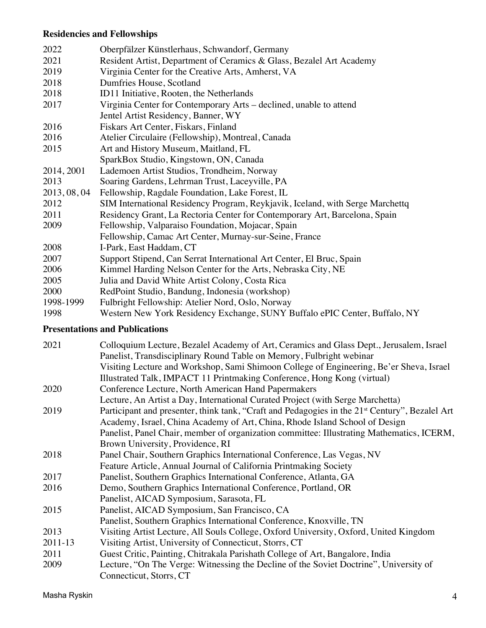# **Residencies and Fellowships**

| 2022         | Oberpfälzer Künstlerhaus, Schwandorf, Germany                                 |
|--------------|-------------------------------------------------------------------------------|
| 2021         | Resident Artist, Department of Ceramics & Glass, Bezalel Art Academy          |
| 2019         | Virginia Center for the Creative Arts, Amherst, VA                            |
| 2018         | Dumfries House, Scotland                                                      |
| 2018         | ID11 Initiative, Rooten, the Netherlands                                      |
| 2017         | Virginia Center for Contemporary Arts – declined, unable to attend            |
|              | Jentel Artist Residency, Banner, WY                                           |
| 2016         | Fiskars Art Center, Fiskars, Finland                                          |
| 2016         | Atelier Circulaire (Fellowship), Montreal, Canada                             |
| 2015         | Art and History Museum, Maitland, FL                                          |
|              | SparkBox Studio, Kingstown, ON, Canada                                        |
| 2014, 2001   | Lademoen Artist Studios, Trondheim, Norway                                    |
| 2013         | Soaring Gardens, Lehrman Trust, Laceyville, PA                                |
| 2013, 08, 04 | Fellowship, Ragdale Foundation, Lake Forest, IL                               |
| 2012         | SIM International Residency Program, Reykjavik, Iceland, with Serge Marchettq |
| 2011         | Residency Grant, La Rectoria Center for Contemporary Art, Barcelona, Spain    |
| 2009         | Fellowship, Valparaiso Foundation, Mojacar, Spain                             |
|              | Fellowship, Camac Art Center, Murnay-sur-Seine, France                        |
| 2008         | I-Park, East Haddam, CT                                                       |
| 2007         | Support Stipend, Can Serrat International Art Center, El Bruc, Spain          |
| 2006         | Kimmel Harding Nelson Center for the Arts, Nebraska City, NE                  |
| 2005         | Julia and David White Artist Colony, Costa Rica                               |
| 2000         | RedPoint Studio, Bandung, Indonesia (workshop)                                |
| 1998-1999    | Fulbright Fellowship: Atelier Nord, Oslo, Norway                              |
| 1998         | Western New York Residency Exchange, SUNY Buffalo ePIC Center, Buffalo, NY    |

## **Presentations and Publications**

| 2021    | Colloquium Lecture, Bezalel Academy of Art, Ceramics and Glass Dept., Jerusalem, Israel<br>Panelist, Transdisciplinary Round Table on Memory, Fulbright webinar    |
|---------|--------------------------------------------------------------------------------------------------------------------------------------------------------------------|
|         | Visiting Lecture and Workshop, Sami Shimoon College of Engineering, Be'er Sheva, Israel<br>Illustrated Talk, IMPACT 11 Printmaking Conference, Hong Kong (virtual) |
| 2020    | Conference Lecture, North American Hand Papermakers                                                                                                                |
|         | Lecture, An Artist a Day, International Curated Project (with Serge Marchetta)                                                                                     |
| 2019    | Participant and presenter, think tank, "Craft and Pedagogies in the 21 <sup>st</sup> Century", Bezalel Art                                                         |
|         | Academy, Israel, China Academy of Art, China, Rhode Island School of Design                                                                                        |
|         | Panelist, Panel Chair, member of organization committee: Illustrating Mathematics, ICERM,                                                                          |
|         | Brown University, Providence, RI                                                                                                                                   |
| 2018    | Panel Chair, Southern Graphics International Conference, Las Vegas, NV                                                                                             |
|         | Feature Article, Annual Journal of California Printmaking Society                                                                                                  |
| 2017    | Panelist, Southern Graphics International Conference, Atlanta, GA                                                                                                  |
| 2016    | Demo, Southern Graphics International Conference, Portland, OR                                                                                                     |
|         | Panelist, AICAD Symposium, Sarasota, FL                                                                                                                            |
| 2015    | Panelist, AICAD Symposium, San Francisco, CA                                                                                                                       |
|         | Panelist, Southern Graphics International Conference, Knoxville, TN                                                                                                |
| 2013    | Visiting Artist Lecture, All Souls College, Oxford University, Oxford, United Kingdom                                                                              |
| 2011-13 | Visiting Artist, University of Connecticut, Storrs, CT                                                                                                             |
| 2011    | Guest Critic, Painting, Chitrakala Parishath College of Art, Bangalore, India                                                                                      |
| 2009    | Lecture, "On The Verge: Witnessing the Decline of the Soviet Doctrine", University of                                                                              |
|         | Connecticut, Storrs, CT                                                                                                                                            |

Masha Ryskin 4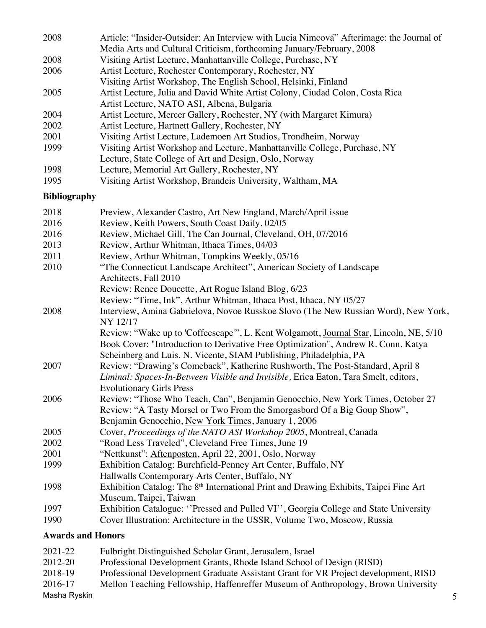| 2008 | Article: "Insider-Outsider: An Interview with Lucia Nimcová" Afterimage: the Journal of |
|------|-----------------------------------------------------------------------------------------|
|      | Media Arts and Cultural Criticism, forthcoming January/February, 2008                   |
| 2008 | Visiting Artist Lecture, Manhattanville College, Purchase, NY                           |
| 2006 | Artist Lecture, Rochester Contemporary, Rochester, NY                                   |
|      | Visiting Artist Workshop, The English School, Helsinki, Finland                         |
| 2005 | Artist Lecture, Julia and David White Artist Colony, Ciudad Colon, Costa Rica           |
|      | Artist Lecture, NATO ASI, Albena, Bulgaria                                              |
| 2004 | Artist Lecture, Mercer Gallery, Rochester, NY (with Margaret Kimura)                    |
| 2002 | Artist Lecture, Hartnett Gallery, Rochester, NY                                         |
| 2001 | Visiting Artist Lecture, Lademoen Art Studios, Trondheim, Norway                        |
| 1999 | Visiting Artist Workshop and Lecture, Manhattanville College, Purchase, NY              |
|      | Lecture, State College of Art and Design, Oslo, Norway                                  |
| 1998 | Lecture, Memorial Art Gallery, Rochester, NY                                            |
| 1995 | Visiting Artist Workshop, Brandeis University, Waltham, MA                              |

#### **Bibliography**

| 2018 | Preview, Alexander Castro, Art New England, March/April issue                                     |
|------|---------------------------------------------------------------------------------------------------|
| 2016 | Review, Keith Powers, South Coast Daily, 02/05                                                    |
| 2016 | Review, Michael Gill, The Can Journal, Cleveland, OH, 07/2016                                     |
| 2013 | Review, Arthur Whitman, Ithaca Times, 04/03                                                       |
| 2011 | Review, Arthur Whitman, Tompkins Weekly, 05/16                                                    |
| 2010 | "The Connecticut Landscape Architect", American Society of Landscape                              |
|      | Architects, Fall 2010                                                                             |
|      | Review: Renee Doucette, Art Rogue Island Blog, 6/23                                               |
|      | Review: "Time, Ink", Arthur Whitman, Ithaca Post, Ithaca, NY 05/27                                |
| 2008 | Interview, Amina Gabrielova, Novoe Russkoe Slovo (The New Russian Word), New York,                |
|      | NY 12/17                                                                                          |
|      | Review: "Wake up to 'Coffeescape'", L. Kent Wolgamott, Journal Star, Lincoln, NE, 5/10            |
|      | Book Cover: "Introduction to Derivative Free Optimization", Andrew R. Conn, Katya                 |
|      | Scheinberg and Luis. N. Vicente, SIAM Publishing, Philadelphia, PA                                |
| 2007 | Review: "Drawing's Comeback", Katherine Rushworth, The Post-Standard, April 8                     |
|      | Liminal: Spaces-In-Between Visible and Invisible, Erica Eaton, Tara Smelt, editors,               |
|      | <b>Evolutionary Girls Press</b>                                                                   |
| 2006 | Review: "Those Who Teach, Can", Benjamin Genocchio, New York Times, October 27                    |
|      | Review: "A Tasty Morsel or Two From the Smorgasbord Of a Big Goup Show",                          |
|      | Benjamin Genocchio, New York Times, January 1, 2006                                               |
| 2005 | Cover, Proceedings of the NATO ASI Workshop 2005, Montreal, Canada                                |
| 2002 | "Road Less Traveled", Cleveland Free Times, June 19                                               |
| 2001 | "Nettkunst": Aftenposten, April 22, 2001, Oslo, Norway                                            |
| 1999 | Exhibition Catalog: Burchfield-Penney Art Center, Buffalo, NY                                     |
|      | Hallwalls Contemporary Arts Center, Buffalo, NY                                                   |
| 1998 | Exhibition Catalog: The 8 <sup>th</sup> International Print and Drawing Exhibits, Taipei Fine Art |
|      | Museum, Taipei, Taiwan                                                                            |
| 1997 | Exhibition Catalogue: "Pressed and Pulled VI", Georgia College and State University               |
| 1990 | Cover Illustration: Architecture in the USSR, Volume Two, Moscow, Russia                          |
|      | <b>Awards and Honors</b>                                                                          |

### 2021-22 Fulbright Distinguished Scholar Grant, Jerusalem, Israel 2012-20 Professional Development Grants, Rhode Island School of Design (RISD)

- 2018-19 Professional Development Graduate Assistant Grant for VR Project development, RISD
- 2016-17 Mellon Teaching Fellowship, Haffenreffer Museum of Anthropology, Brown University